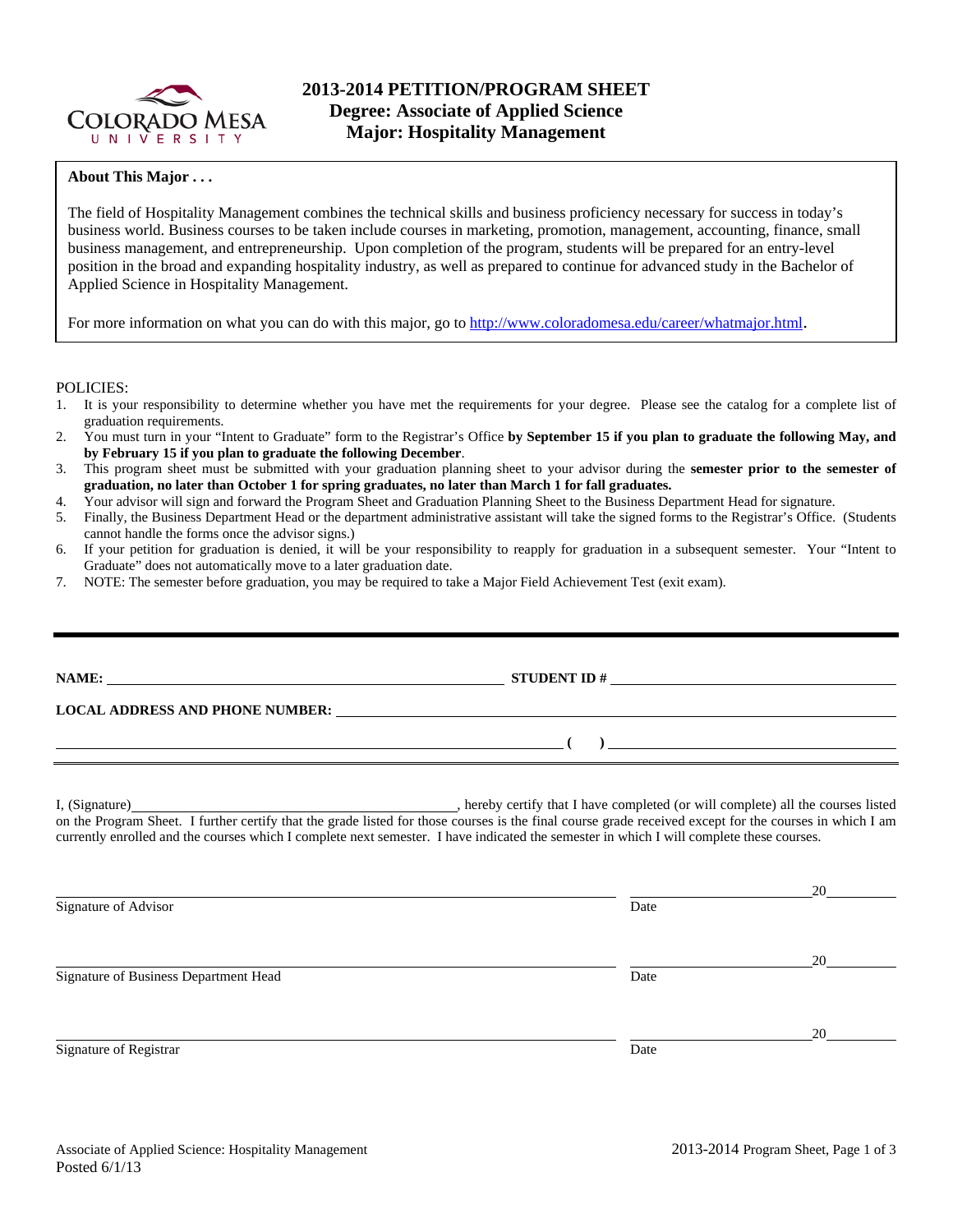

### **About This Major . . .**

The field of Hospitality Management combines the technical skills and business proficiency necessary for success in today's business world. Business courses to be taken include courses in marketing, promotion, management, accounting, finance, small business management, and entrepreneurship. Upon completion of the program, students will be prepared for an entry-level position in the broad and expanding hospitality industry, as well as prepared to continue for advanced study in the Bachelor of Applied Science in Hospitality Management.

For more information on what you can do with this major, go to http://www.coloradomesa.edu/career/whatmajor.html.

POLICIES:

- 1. It is your responsibility to determine whether you have met the requirements for your degree. Please see the catalog for a complete list of graduation requirements.
- 2. You must turn in your "Intent to Graduate" form to the Registrar's Office **by September 15 if you plan to graduate the following May, and by February 15 if you plan to graduate the following December**.
- 3. This program sheet must be submitted with your graduation planning sheet to your advisor during the **semester prior to the semester of graduation, no later than October 1 for spring graduates, no later than March 1 for fall graduates.**
- 4. Your advisor will sign and forward the Program Sheet and Graduation Planning Sheet to the Business Department Head for signature.
- 5. Finally, the Business Department Head or the department administrative assistant will take the signed forms to the Registrar's Office. (Students cannot handle the forms once the advisor signs.)
- 6. If your petition for graduation is denied, it will be your responsibility to reapply for graduation in a subsequent semester. Your "Intent to Graduate" does not automatically move to a later graduation date.
- 7. NOTE: The semester before graduation, you may be required to take a Major Field Achievement Test (exit exam).

|                                       | NAME: $\_\_\_\_\_\_\_\_\_$                                                                                                                                                                                                                                                                          |    |
|---------------------------------------|-----------------------------------------------------------------------------------------------------------------------------------------------------------------------------------------------------------------------------------------------------------------------------------------------------|----|
|                                       | LOCAL ADDRESS AND PHONE NUMBER: University of the contract of the contract of the contract of the contract of the contract of the contract of the contract of the contract of the contract of the contract of the contract of                                                                       |    |
|                                       | $\overline{a}$ (b) and the set of $\overline{a}$ (c) and the set of $\overline{a}$ (c) and the set of $\overline{a}$                                                                                                                                                                                |    |
|                                       | on the Program Sheet. I further certify that the grade listed for those courses is the final course grade received except for the courses in which I am<br>currently enrolled and the courses which I complete next semester. I have indicated the semester in which I will complete these courses. |    |
| Signature of Advisor                  | Date                                                                                                                                                                                                                                                                                                | 20 |
| Signature of Business Department Head | Date                                                                                                                                                                                                                                                                                                | 20 |
| Signature of Registrar                | Date                                                                                                                                                                                                                                                                                                | 20 |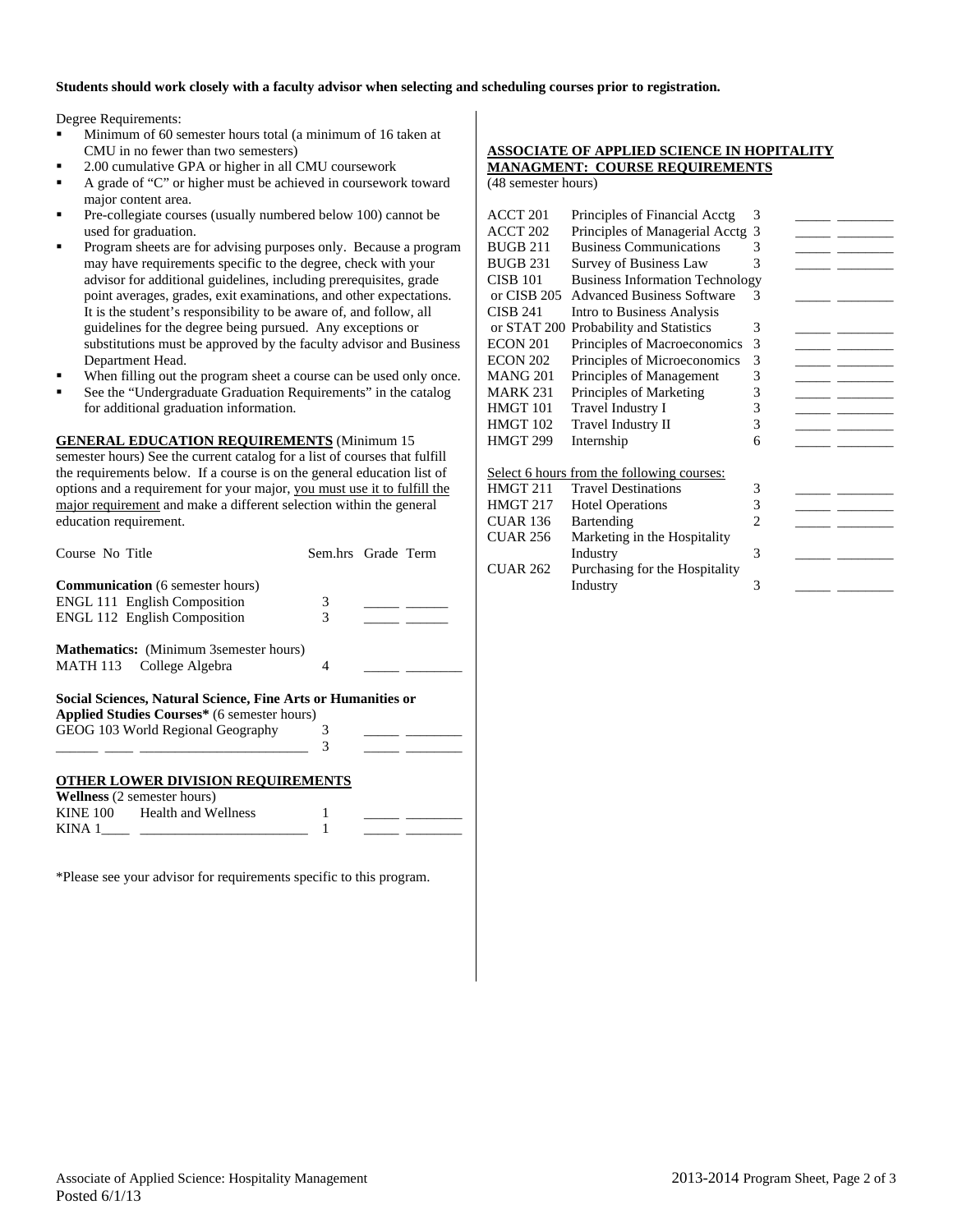#### **Students should work closely with a faculty advisor when selecting and scheduling courses prior to registration.**

Degree Requirements:

- Minimum of 60 semester hours total (a minimum of 16 taken at CMU in no fewer than two semesters)
- 2.00 cumulative GPA or higher in all CMU coursework
- A grade of "C" or higher must be achieved in coursework toward major content area.
- Pre-collegiate courses (usually numbered below 100) cannot be used for graduation.
- Program sheets are for advising purposes only. Because a program may have requirements specific to the degree, check with your advisor for additional guidelines, including prerequisites, grade point averages, grades, exit examinations, and other expectations. It is the student's responsibility to be aware of, and follow, all guidelines for the degree being pursued. Any exceptions or substitutions must be approved by the faculty advisor and Business Department Head.
- When filling out the program sheet a course can be used only once.
- See the "Undergraduate Graduation Requirements" in the catalog for additional graduation information.

**GENERAL EDUCATION REQUIREMENTS** (Minimum 15 semester hours) See the current catalog for a list of courses that fulfill the requirements below. If a course is on the general education list of options and a requirement for your major, you must use it to fulfill the major requirement and make a different selection within the general education requirement.

| Course No Title                                              | Sem.hrs Grade Term |  |
|--------------------------------------------------------------|--------------------|--|
| <b>Communication</b> (6 semester hours)                      |                    |  |
| <b>ENGL 111 English Composition</b>                          | 3                  |  |
| <b>ENGL 112 English Composition</b>                          | 3                  |  |
| <b>Mathematics:</b> (Minimum 3 semester hours)               |                    |  |
| MATH 113 College Algebra                                     | 4                  |  |
| Social Sciences, Natural Science, Fine Arts or Humanities or |                    |  |
| Applied Studies Courses* (6 semester hours)                  |                    |  |
| GEOG 103 World Regional Geography                            | 3                  |  |
|                                                              | 3                  |  |
| <b>OTHER LOWER DIVISION REQUIREMENTS</b>                     |                    |  |
| <b>Wellness</b> (2 semester hours)                           |                    |  |
| KINE 100 Health and Wellness                                 |                    |  |

\*Please see your advisor for requirements specific to this program.

KINA 1

### **ASSOCIATE OF APPLIED SCIENCE IN HOPITALITY MANAGMENT: COURSE REQUIREMENTS**

(48 semester hours)

| ACCT 201        | Principles of Financial Acctg              | 3              |  |
|-----------------|--------------------------------------------|----------------|--|
| ACCT 202        | Principles of Managerial Acctg             | 3              |  |
| BUGB 211        | <b>Business Communications</b>             | 3              |  |
| <b>BUGB 231</b> | Survey of Business Law                     | 3              |  |
| CISB 101        | <b>Business Information Technology</b>     |                |  |
| or CISB 205     | <b>Advanced Business Software</b>          | 3              |  |
| CISB 241        | Intro to Business Analysis                 |                |  |
| or STAT 200     | Probability and Statistics                 | 3              |  |
| ECON 201        | Principles of Macroeconomics               | 3              |  |
| ECON 202        | Principles of Microeconomics               | 3              |  |
| MANG 201        | Principles of Management                   | 3              |  |
| MARK 231        | Principles of Marketing                    | 3              |  |
| HMGT 101        | Travel Industry I                          | 3              |  |
| HMGT 102        | Travel Industry II                         | 3              |  |
| HMGT 299        | Internship                                 | 6              |  |
|                 |                                            |                |  |
|                 | Select 6 hours from the following courses: |                |  |
| HMGT 211        | <b>Travel Destinations</b>                 | 3              |  |
| HMGT 217        | <b>Hotel Operations</b>                    | 3              |  |
| CUAR 136        | Bartending                                 | $\mathfrak{D}$ |  |
| <b>CUAR 256</b> | Marketing in the Hospitality               |                |  |
|                 | Industry                                   | 3              |  |
| CUAR 262        | Purchasing for the Hospitality             |                |  |
|                 | Industry                                   | 3              |  |
|                 |                                            |                |  |